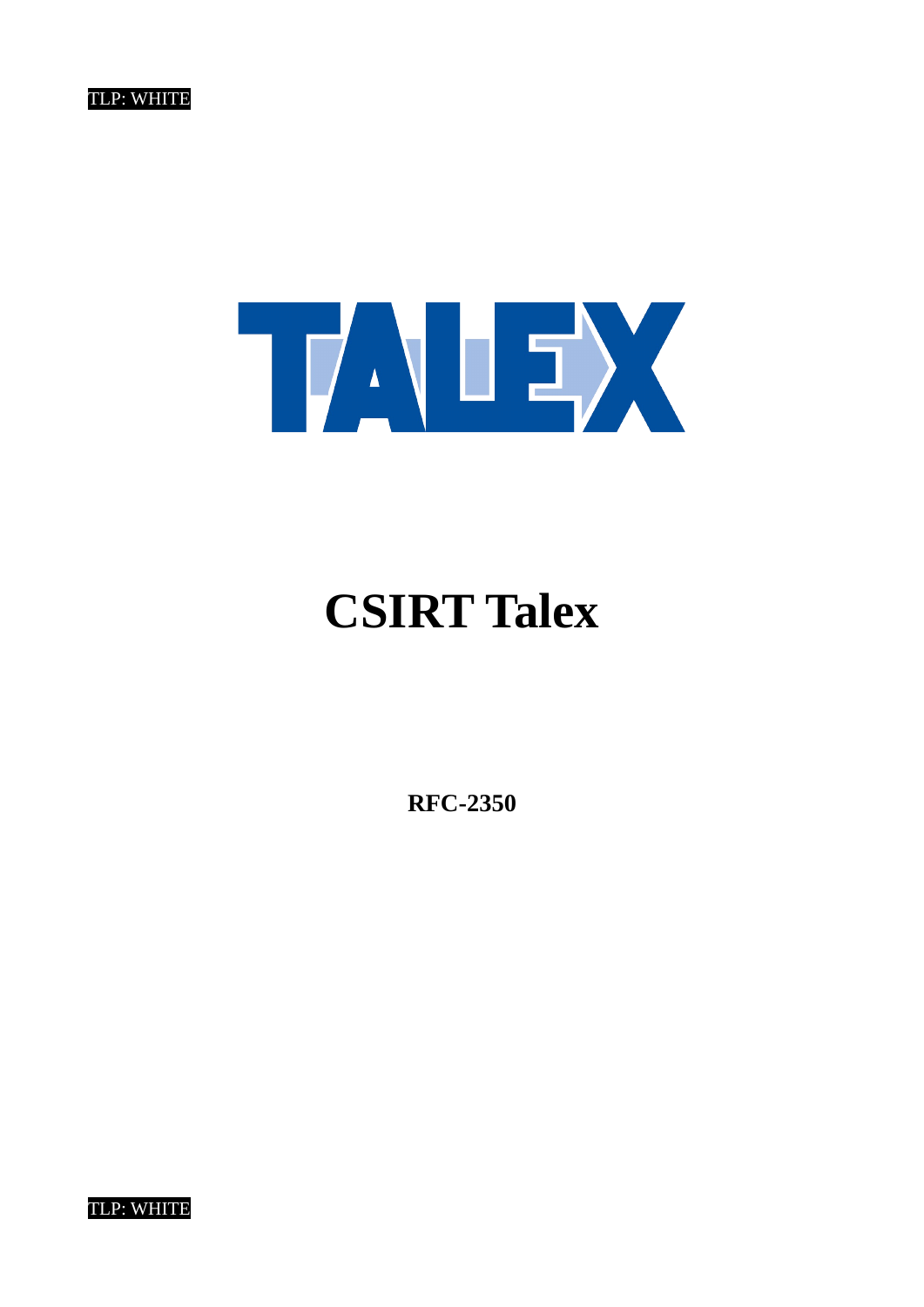

# **CSIRT Talex**

**RFC-2350**

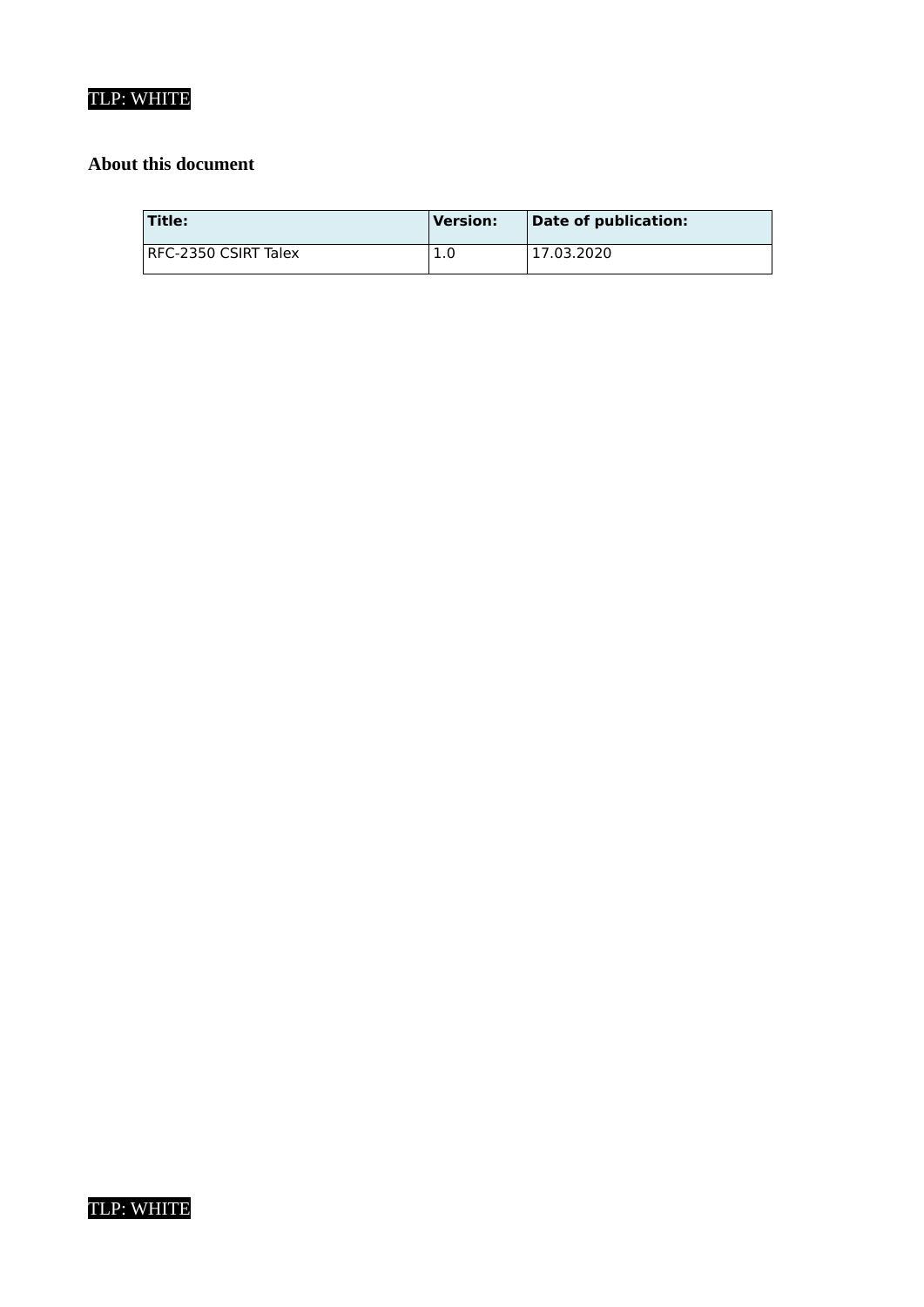# **About this document**

| 'Title:              | <b>Version:</b> | Date of publication: |
|----------------------|-----------------|----------------------|
| RFC-2350 CSIRT Talex | 1.0             | 17.03.2020           |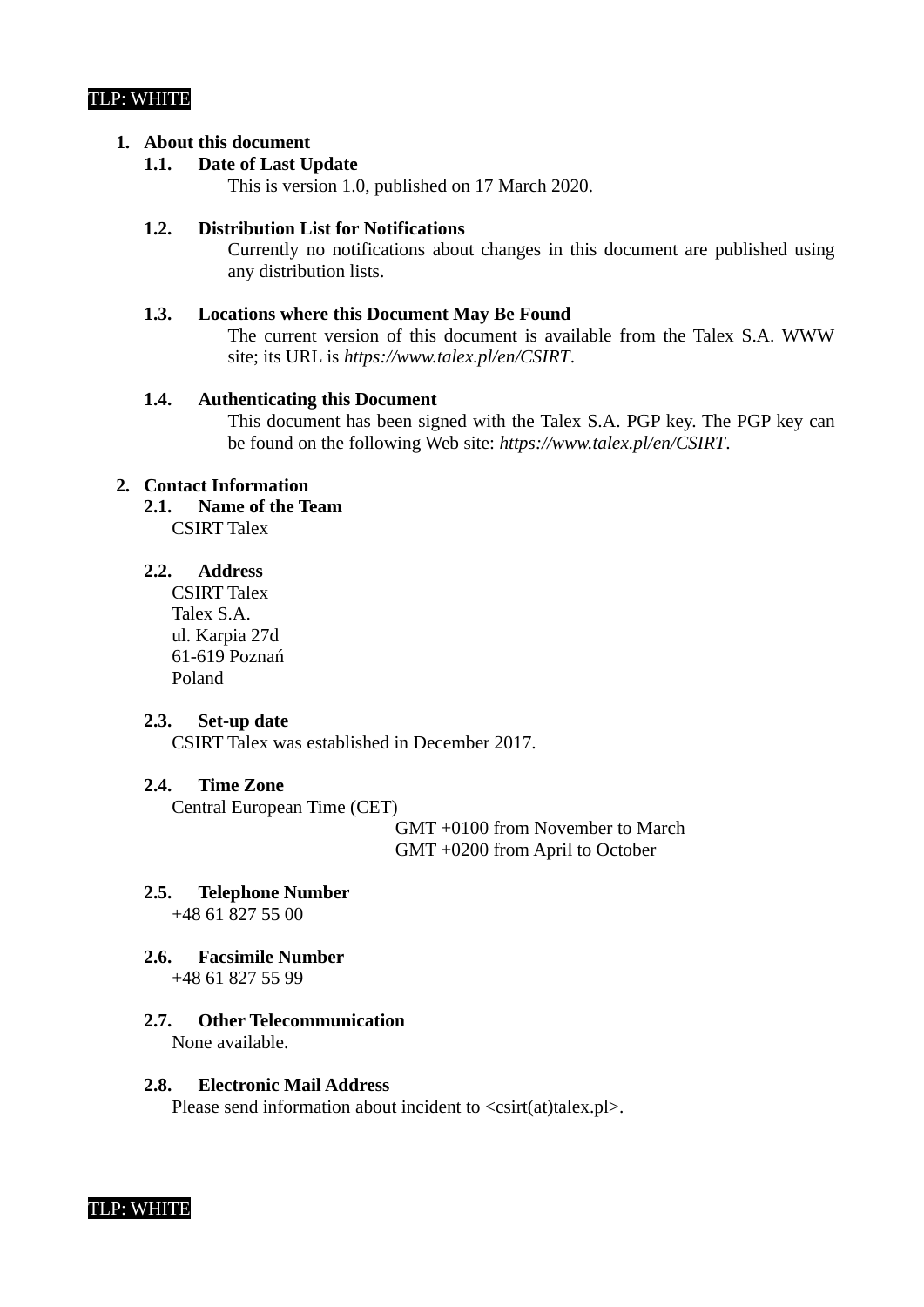#### **1. About this document**

# **1.1. Date of Last Update**

This is version 1.0, published on 17 March 2020.

#### **1.2. Distribution List for Notifications**

Currently no notifications about changes in this document are published using any distribution lists.

#### **1.3. Locations where this Document May Be Found**

The current version of this document is available from the Talex S.A. WWW site; its URL is *https://www.talex.pl/en/CSIRT*.

#### **1.4. Authenticating this Document**

This document has been signed with the Talex S.A. PGP key. The PGP key can be found on the following Web site: *https://www.talex.pl/en/CSIRT*.

# **2. Contact Information**

#### **2.1. Name of the Team** CSIRT Talex

# **2.2. Address**

CSIRT Talex Talex S.A. ul. Karpia 27d 61-619 Poznań Poland

#### **2.3. Set-up date**

CSIRT Talex was established in December 2017.

#### **2.4. Time Zone**

Central European Time (CET)

GMT +0100 from November to March GMT +0200 from April to October

#### **2.5. Telephone Number**

+48 61 827 55 00

#### **2.6. Facsimile Number**

+48 61 827 55 99

#### **2.7. Other Telecommunication** None available.

**2.8. Electronic Mail Address** 

Please send information about incident to  $\langle$ csirt(at)talex.pl $\rangle$ .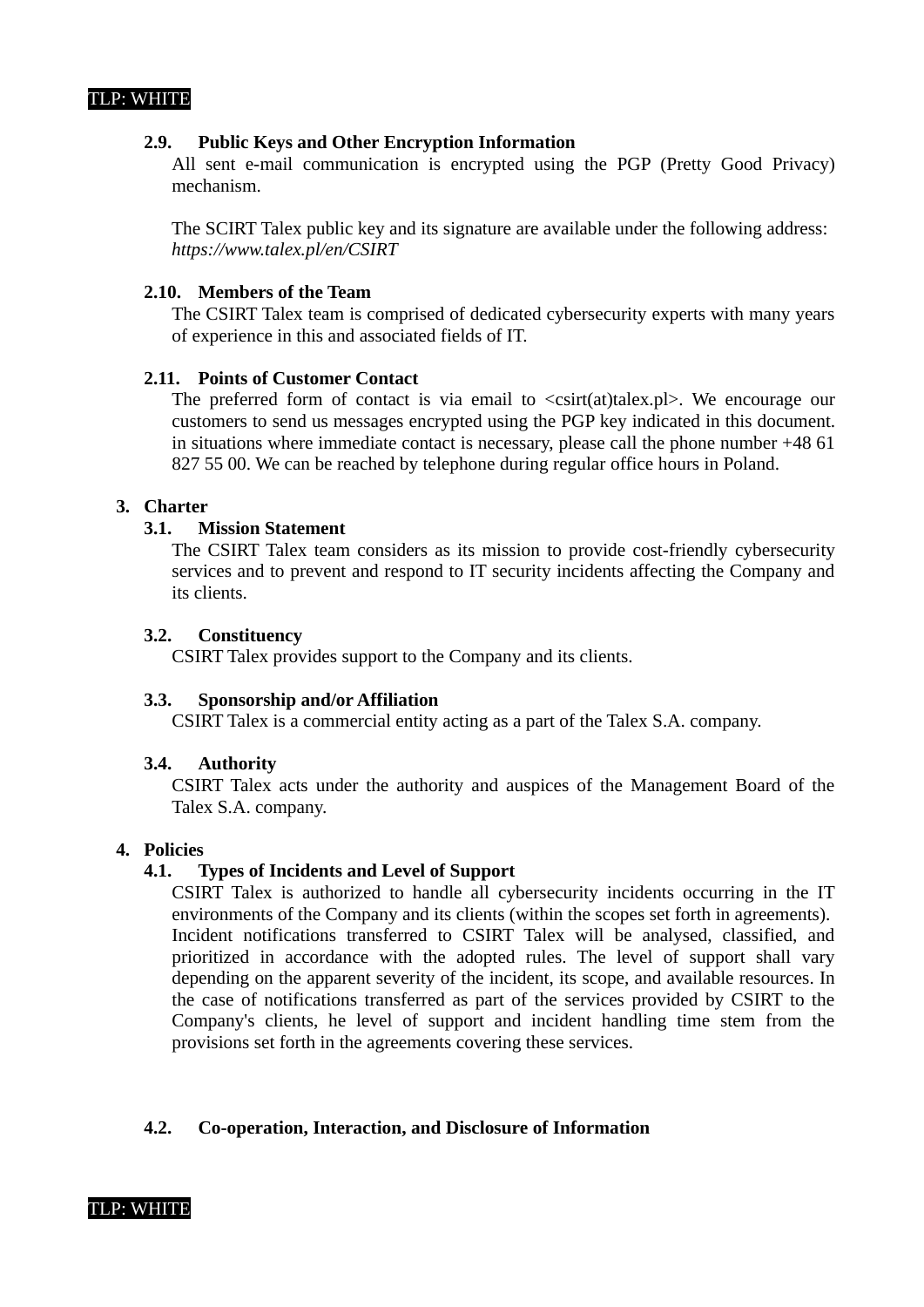#### **2.9. Public Keys and Other Encryption Information**

All sent e-mail communication is encrypted using the PGP (Pretty Good Privacy) mechanism.

The SCIRT Talex public key and its signature are available under the following address: *https://www.talex.pl/en/CSIRT*

#### **2.10. Members of the Team**

The CSIRT Talex team is comprised of dedicated cybersecurity experts with many years of experience in this and associated fields of IT.

#### **2.11. Points of Customer Contact**

The preferred form of contact is via email to  $\leq$ csirt(at)talex.pl>. We encourage our customers to send us messages encrypted using the PGP key indicated in this document. in situations where immediate contact is necessary, please call the phone number +48 61 827 55 00. We can be reached by telephone during regular office hours in Poland.

# **3. Charter**

## **3.1. Mission Statement**

The CSIRT Talex team considers as its mission to provide cost-friendly cybersecurity services and to prevent and respond to IT security incidents affecting the Company and its clients.

#### **3.2. Constituency**

CSIRT Talex provides support to the Company and its clients.

#### **3.3. Sponsorship and/or Affiliation**

CSIRT Talex is a commercial entity acting as a part of the Talex S.A. company.

### **3.4. Authority**

CSIRT Talex acts under the authority and auspices of the Management Board of the Talex S.A. company.

# **4. Policies**

### **4.1. Types of Incidents and Level of Support**

CSIRT Talex is authorized to handle all cybersecurity incidents occurring in the IT environments of the Company and its clients (within the scopes set forth in agreements). Incident notifications transferred to CSIRT Talex will be analysed, classified, and prioritized in accordance with the adopted rules. The level of support shall vary depending on the apparent severity of the incident, its scope, and available resources. In the case of notifications transferred as part of the services provided by CSIRT to the Company's clients, he level of support and incident handling time stem from the provisions set forth in the agreements covering these services.

### **4.2. Co-operation, Interaction, and Disclosure of Information**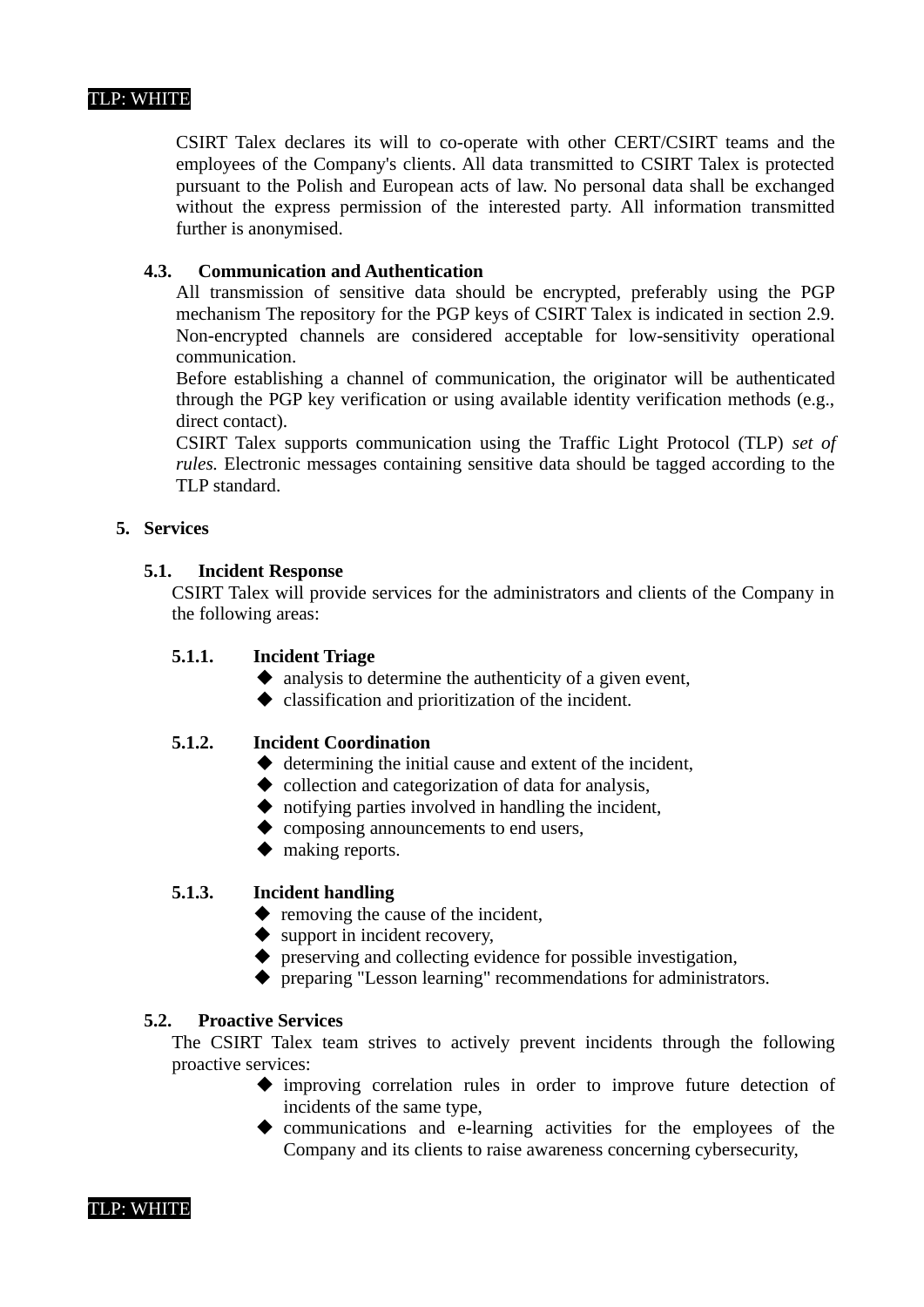CSIRT Talex declares its will to co-operate with other CERT/CSIRT teams and the employees of the Company's clients. All data transmitted to CSIRT Talex is protected pursuant to the Polish and European acts of law. No personal data shall be exchanged without the express permission of the interested party. All information transmitted further is anonymised.

# **4.3. Communication and Authentication**

All transmission of sensitive data should be encrypted, preferably using the PGP mechanism The repository for the PGP keys of CSIRT Talex is indicated in section 2.9. Non-encrypted channels are considered acceptable for low-sensitivity operational communication.

Before establishing a channel of communication, the originator will be authenticated through the PGP key verification or using available identity verification methods (e.g., direct contact).

CSIRT Talex supports communication using the Traffic Light Protocol (TLP) *set of rules.* Electronic messages containing sensitive data should be tagged according to the TLP standard.

### **5. Services**

### **5.1. Incident Response**

CSIRT Talex will provide services for the administrators and clients of the Company in the following areas:

#### **5.1.1. Incident Triage**

- $\blacklozenge$  analysis to determine the authenticity of a given event,
- classification and prioritization of the incident.

#### **5.1.2. Incident Coordination**

- $\blacklozenge$  determining the initial cause and extent of the incident,
- $\blacklozenge$  collection and categorization of data for analysis,
- $\blacklozenge$  notifying parties involved in handling the incident,
- ◆ composing announcements to end users,
- ◆ making reports.

#### **5.1.3. Incident handling**

- ◆ removing the cause of the incident,
- ◆ support in incident recovery,
- $\blacklozenge$  preserving and collecting evidence for possible investigation,
- preparing "Lesson learning" recommendations for administrators.

#### **5.2. Proactive Services**

The CSIRT Talex team strives to actively prevent incidents through the following proactive services:

- improving correlation rules in order to improve future detection of incidents of the same type,
- communications and e-learning activities for the employees of the Company and its clients to raise awareness concerning cybersecurity,